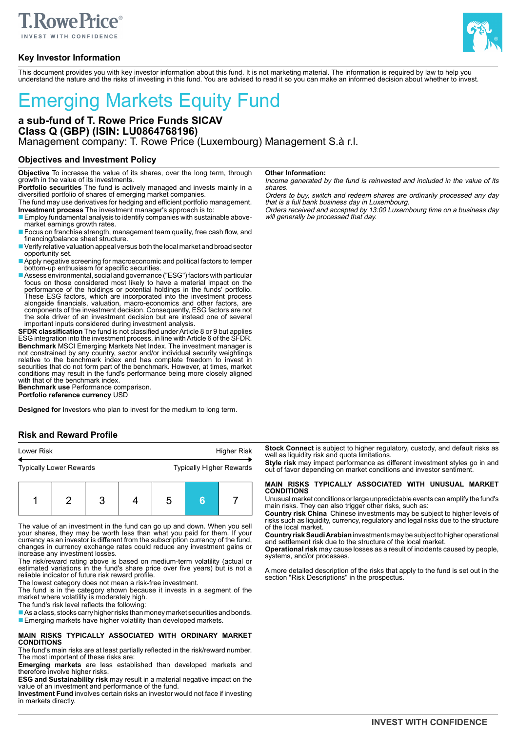

# **Key Investor Information**



This document provides you with key investor information about this fund. It is not marketing material. The information is required by law to help you understand the nature and the risks of investing in this fund. You are advised to read it so you can make an informed decision about whether to invest.

# Emerging Markets Equity Fund

**a sub-fund of T. Rowe Price Funds SICAV Class Q (GBP) (ISIN: LU0864768196)** Management company: T. Rowe Price (Luxembourg) Management S.à r.l.

# **Objectives and Investment Policy**

**Objective** To increase the value of its shares, over the long term, through growth in the value of its investments.

**Portfolio securities** The fund is actively managed and invests mainly in a diversified portfolio of shares of emerging market companies.

The fund may use derivatives for hedging and efficient portfolio management. **Investment process** The investment manager's approach is to:

- Employ fundamental analysis to identify companies with sustainable abovemarket earnings growth rates.
- Focus on franchise strength, management team quality, free cash flow, and financing/balance sheet structure.
- Verify relative valuation appeal versus both the local market and broad sector opportunity set.
- Apply negative screening for macroeconomic and political factors to temper bottom-up enthusiasm for specific securities.
- Assess environmental, social and governance ("ESG") factors with particular focus on those considered most likely to have a material impact on the performance of the holdings or potential holdings in the funds' portfolio. These ESG factors, which are incorporated into the investment process alongside financials, valuation, macro-economics and other factors, are components of the investment decision. Consequently, ESG factors are not the sole driver of an investment decision but are instead one of several important inputs considered during investment analysis.

**SFDR classification** The fund is not classified under Article 8 or 9 but applies ESG integration into the investment process, in line with Article 6 of the SFDR. **Benchmark** MSCI Emerging Markets Net Index. The investment manager is not constrained by any country, sector and/or individual security weightings relative to the benchmark index and has complete freedom to invest in securities that do not form part of the benchmark. However, at times, market conditions may result in the fund's performance being more closely aligned with that of the benchmark index.

**Benchmark use** Performance comparison.

**Portfolio reference currency** USD

**Designed for** Investors who plan to invest for the medium to long term.

## **Risk and Reward Profile**

| Lower Risk                     |  |  |                                 | <b>Higher Risk</b> |  |  |  |
|--------------------------------|--|--|---------------------------------|--------------------|--|--|--|
| <b>Typically Lower Rewards</b> |  |  | <b>Typically Higher Rewards</b> |                    |  |  |  |
|                                |  |  |                                 |                    |  |  |  |

|  |  | $2 \mid 3 \mid$ |  | $\begin{array}{ccc} & 5 \end{array}$ |  |  |
|--|--|-----------------|--|--------------------------------------|--|--|
|--|--|-----------------|--|--------------------------------------|--|--|

The value of an investment in the fund can go up and down. When you sell your shares, they may be worth less than what you paid for them. If your currency as an investor is different from the subscription currency of the fund, changes in currency exchange rates could reduce any investment gains or increase any investment losses.

The risk/reward rating above is based on medium-term volatility (actual or estimated variations in the fund's share price over five years) but is not a reliable indicator of future risk reward profile.

The lowest category does not mean a risk-free investment.

The fund is in the category shown because it invests in a segment of the market where volatility is moderately high.

The fund's risk level reflects the following:

 $\blacksquare$  As a class, stocks carry higher risks than money market securities and bonds. ■ Emerging markets have higher volatility than developed markets.

#### **MAIN RISKS TYPICALLY ASSOCIATED WITH ORDINARY MARKET CONDITIONS**

The fund's main risks are at least partially reflected in the risk/reward number. The most important of these risks are:

**Emerging markets** are less established than developed markets and therefore involve higher risks.

**ESG and Sustainability risk** may result in a material negative impact on the value of an investment and performance of the fund.

**Investment Fund** involves certain risks an investor would not face if investing in markets directly.

#### **Other Information:**

Income generated by the fund is reinvested and included in the value of its shares.

Orders to buy, switch and redeem shares are ordinarily processed any day that is a full bank business day in Luxembourg.

Orders received and accepted by 13:00 Luxembourg time on a business day will generally be processed that day.

**Stock Connect** is subject to higher regulatory, custody, and default risks as well as liquidity risk and quota limitations.

**Style risk** may impact performance as different investment styles go in and out of favor depending on market conditions and investor sentiment.

# **MAIN RISKS TYPICALLY ASSOCIATED WITH UNUSUAL MARKET CONDITIONS**

Unusual market conditions or large unpredictable events can amplify the fund's main risks. They can also trigger other risks, such as:

**Country risk China** Chinese investments may be subject to higher levels of risks such as liquidity, currency, regulatory and legal risks due to the structure of the local market.

**Country risk Saudi Arabian** investments may be subject to higher operational and settlement risk due to the structure of the local market.

**Operational risk** may cause losses as a result of incidents caused by people, systems, and/or processes.

A more detailed description of the risks that apply to the fund is set out in the section "Risk Descriptions" in the prospectus.